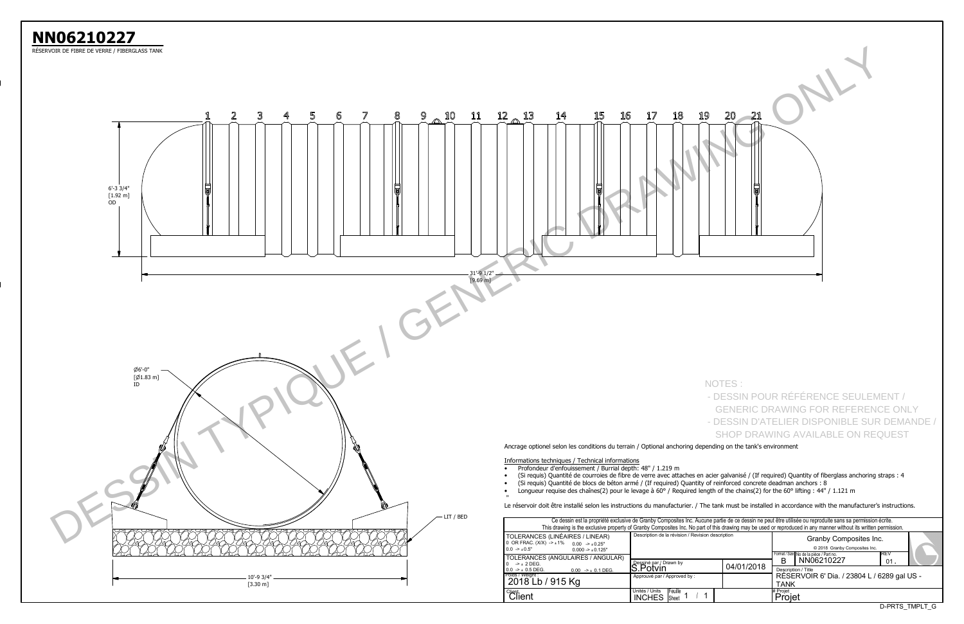| Ce dessin est la propriété exclusive de Granby Composites Inc. Aucune partie de ce dessin ne peut être utilisée ou reproduite sans sa permission écrite.<br>This drawing is the exclusive property of Granby Composites Inc. No part of this drawing may be used or reproduced in any manner without its written permission. |                                                                    |            |                                                            |                                                                                                    |        |  |  |  |  |  |  |  |
|------------------------------------------------------------------------------------------------------------------------------------------------------------------------------------------------------------------------------------------------------------------------------------------------------------------------------|--------------------------------------------------------------------|------------|------------------------------------------------------------|----------------------------------------------------------------------------------------------------|--------|--|--|--|--|--|--|--|
| S (LINÉAIRES / LINEAR)<br>$(X)$ -> $\pm$ 1% 0.00 -> $\pm$ 0.25"<br>$0.000 - 1.0125$ "                                                                                                                                                                                                                                        | Description de la révision / Revision description                  |            |                                                            | Granby Composites Inc.<br>© 2018 Granby Composites Inc.<br>Format / Size No de la pièce / Part no. | IREV   |  |  |  |  |  |  |  |
| S (ANGULAIRES / ANGULAR)                                                                                                                                                                                                                                                                                                     | Dessiné par / Drawn by                                             |            | B                                                          | NN06210227                                                                                         | $01$ . |  |  |  |  |  |  |  |
| $0.00$ -> $\pm$ 0.1 DEG.                                                                                                                                                                                                                                                                                                     | S.Potvin                                                           | 04/01/2018 | Description / Title                                        |                                                                                                    |        |  |  |  |  |  |  |  |
| / 915 Kg                                                                                                                                                                                                                                                                                                                     | Approuvé par / Approved by:                                        |            | RÉSERVOIR 6' Dia. / 23804 L / 6289 gal US -<br><b>TANK</b> |                                                                                                    |        |  |  |  |  |  |  |  |
|                                                                                                                                                                                                                                                                                                                              | Unités / Units<br><b>IFeuille</b><br><b>INCHES</b><br><b>Sheet</b> |            | # Projet<br>Projet                                         |                                                                                                    |        |  |  |  |  |  |  |  |

RÉSERVOIR DE FIBRE DE VERRE / FIBERGLASS TANK

**NN06210227**



| 20<br>21<br>9<br>$\overline{\mathbb{P}}$ |  |
|------------------------------------------|--|
|                                          |  |

## NOTES

- DESSIN POUR RÉFÉRENCE SEULEMENT / GENERIC DRAWING FOR REFERENCE ONLY
- DESSIN D'ATELIER DISPONIBLE SUR DEMANDE / SHOP DRAWING AVAILABLE ON REQUEST

Le réservoir doit être installé selon les instructions du manufacturier. / The tank must be installed in accordance with the manufacturer's instructions.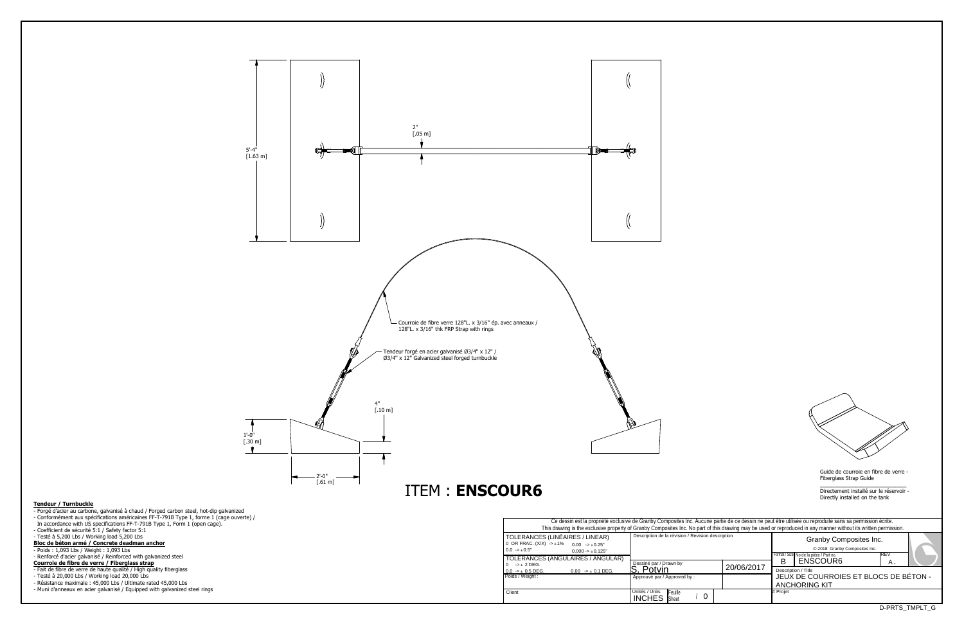Guide de courroie en fibre de verre -Fiberglass Strap Guide

\_\_\_\_\_\_\_\_\_\_\_\_\_\_\_\_\_\_\_\_\_\_\_\_\_\_\_\_\_ Directement installé sur le réservoir -Directly installed on the tank

Poids / Weight :

**Client** 

| Ce dessin est la propriété exclusive de Granby Composites Inc. Aucune partie de ce dessin ne peut être utilisée ou reproduite sans sa permission écrite.<br>This drawing is the exclusive property of Granby Composites Inc. No part of this drawing may be used or reproduced in any manner without its written permission. |                                                                 |            |                                                                                                            |  |  |  |  |  |  |  |  |  |  |
|------------------------------------------------------------------------------------------------------------------------------------------------------------------------------------------------------------------------------------------------------------------------------------------------------------------------------|-----------------------------------------------------------------|------------|------------------------------------------------------------------------------------------------------------|--|--|--|--|--|--|--|--|--|--|
| ERANCES (LINÉAIRES / LINEAR)<br>R FRAC. $(X/X) \rightarrow \pm 1\%$ 0.00 $\rightarrow \pm 0.25$ "<br>> 0.5"<br>$0.000 - 1.001 - 1.001$                                                                                                                                                                                       | Description de la révision / Revision description               |            | Granby Composites Inc.<br>© 2018 Granby Composites Inc.<br>IREV<br>Format / Size No de la pièce / Part no. |  |  |  |  |  |  |  |  |  |  |
| <b>ERANCES (ANGULAIRES / ANGULAR)</b><br>> ± 2 DEG.                                                                                                                                                                                                                                                                          | Dessiné par / Drawn by                                          |            | ENSCOUR6<br>в<br>Α.                                                                                        |  |  |  |  |  |  |  |  |  |  |
| $> 10.5$ DEG.<br>$0.00$ -> $\pm$ 0.1 DEG.                                                                                                                                                                                                                                                                                    | Potvin                                                          | 20/06/2017 | Description / Title                                                                                        |  |  |  |  |  |  |  |  |  |  |
| / Weight:                                                                                                                                                                                                                                                                                                                    | Approuvé par / Approved by :                                    |            | JEUX DE COURROIES ET BLOCS DE BÉTON -<br><b>ANCHORING KIT</b>                                              |  |  |  |  |  |  |  |  |  |  |
|                                                                                                                                                                                                                                                                                                                              | Unités / Units<br>Feuille<br>0<br><b>INCHES</b><br><b>Sheet</b> |            | # Projet                                                                                                   |  |  |  |  |  |  |  |  |  |  |
|                                                                                                                                                                                                                                                                                                                              |                                                                 |            |                                                                                                            |  |  |  |  |  |  |  |  |  |  |



## **Tendeur / Turnbuckle**

- 
- Forgé d'acier au carbone, galvanisé à chaud / Forged carbon steel, hot-dip galvanized Conformément aux spécifications américaines FF-T-791B Type 1, forme 1 (cage ouverte) /
- In accordance with US specifications FF-T-791B Type 1, Form 1 (open cage).
- 
- 
- Coefficient de sécurité 5:1 / Safety factor 5:1 Testé à 5,200 Lbs / Working load 5,200 Lbs **Bloc de béton armé / Concrete deadman anchor**
- Poids : 1,093 Lbs / Weight : 1,093 Lbs
- Renforcé d'acier galvanisé / Reinforced with galvanized steel
- **Courroie de fibre de verre / Fiberglass strap**
- 
- Fait de fibre de verre de haute qualité / High quality fiberglass Testé à 20,000 Lbs / Working load 20,000 Lbs
- 
- Résistance maximale : 45,000 Lbs / Ultimate rated 45,000 Lbs
- Muni d'anneaux en acier galvanisé / Equipped with galvanized steel rings